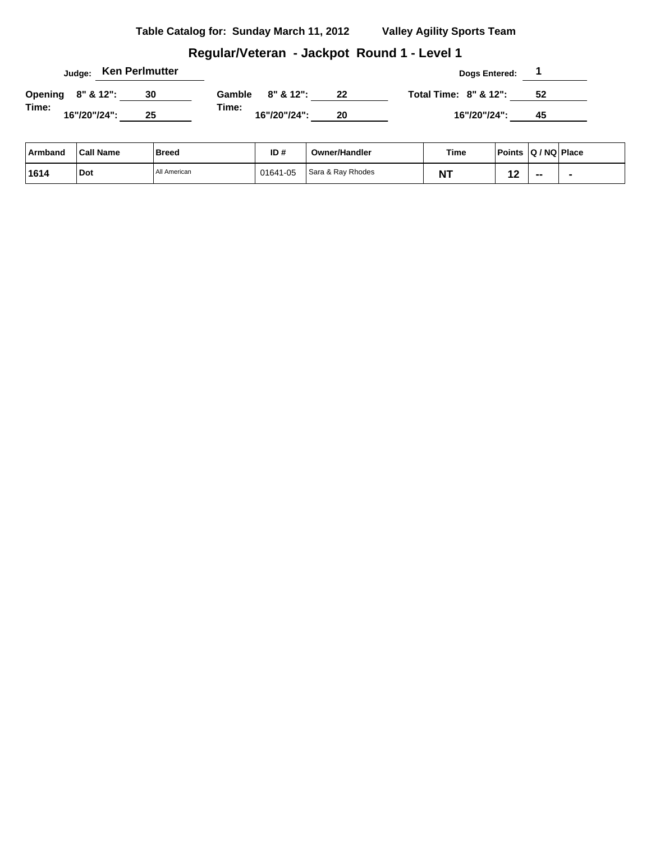### **Regular/Veteran - Jackpot Round 1 - Level 1**

|                   |              |  | <sub>Judge:</sub> Ken Perlmutter |        |               |    | <b>Dogs Entered:</b>             |    |  |
|-------------------|--------------|--|----------------------------------|--------|---------------|----|----------------------------------|----|--|
| Opening 8" & 12": |              |  | 30                               | Gamble | $8" 8' 12"$ : | 22 | <b>Total Time: 8" &amp; 12":</b> | 52 |  |
| Time:             | 16"/20"/24": |  | 25                               | Time:  | 16"/20"/24":  | 20 | 16"/20"/24":                     | 45 |  |

| Armband | <b>Call Name</b> | <b>Breed</b> | ID#      | <b>Owner/Handler</b> | <b>Time</b> | <b>Points</b> | $ Q/NQ $ Place |  |
|---------|------------------|--------------|----------|----------------------|-------------|---------------|----------------|--|
| 1614    | Dot              | All American | 01641-05 | Sara & Ray Rhodes    | .           |               | $- -$          |  |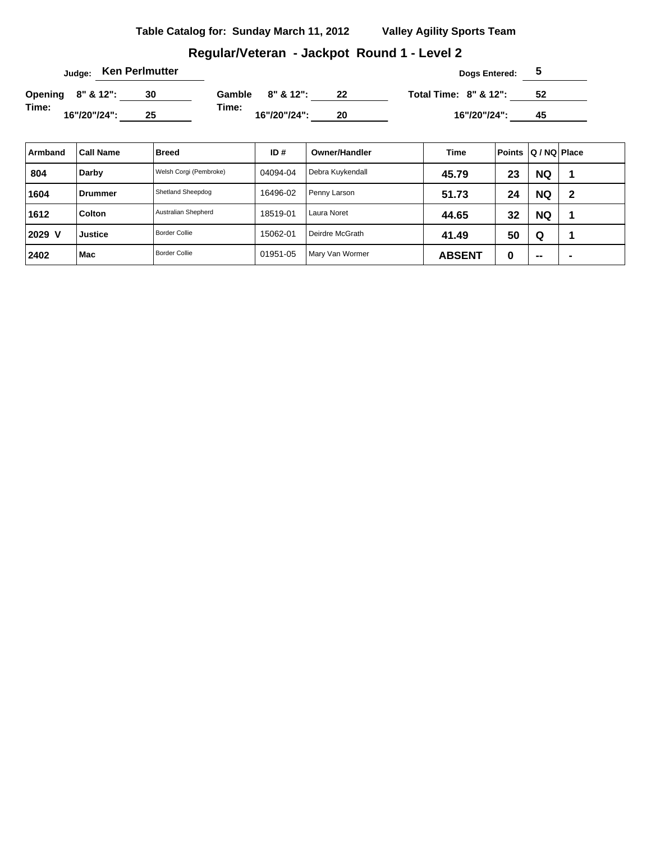# **Regular/Veteran - Jackpot Round 1 - Level 2**

|                   |              |  | Judge: Ken Perlmutter |        |               |    | Dogs Entered:                    |    |  |
|-------------------|--------------|--|-----------------------|--------|---------------|----|----------------------------------|----|--|
| Opening 8" & 12": |              |  |                       | Gamble | $8" 8' 12"$ : | 22 | <b>Total Time: 8" &amp; 12":</b> | 52 |  |
| Time:             | 16"/20"/24": |  | 25                    | Time:  | 16"/20"/24":  | 20 | 16"/20"/24":                     | 45 |  |

| Armband | <b>Call Name</b> | Breed                  | ID#      | Owner/Handler    | Time          | <b>Points</b> | $ Q/NQ $ Place |                |
|---------|------------------|------------------------|----------|------------------|---------------|---------------|----------------|----------------|
| 804     | Darby            | Welsh Corgi (Pembroke) | 04094-04 | Debra Kuykendall | 45.79         | 23            | <b>NQ</b>      |                |
| 1604    | ⊦Drummer         | Shetland Sheepdog      | 16496-02 | Penny Larson     | 51.73         | 24            | <b>NQ</b>      | 2              |
| 1612    | Colton           | Australian Shepherd    | 18519-01 | Laura Noret      | 44.65         | 32            | <b>NQ</b>      |                |
| 2029 V  | <b>Justice</b>   | <b>Border Collie</b>   | 15062-01 | Deirdre McGrath  | 41.49         | 50            | Q              |                |
| 2402    | Mac              | <b>Border Collie</b>   | 01951-05 | Mary Van Wormer  | <b>ABSENT</b> | 0             | $\sim$         | $\blacksquare$ |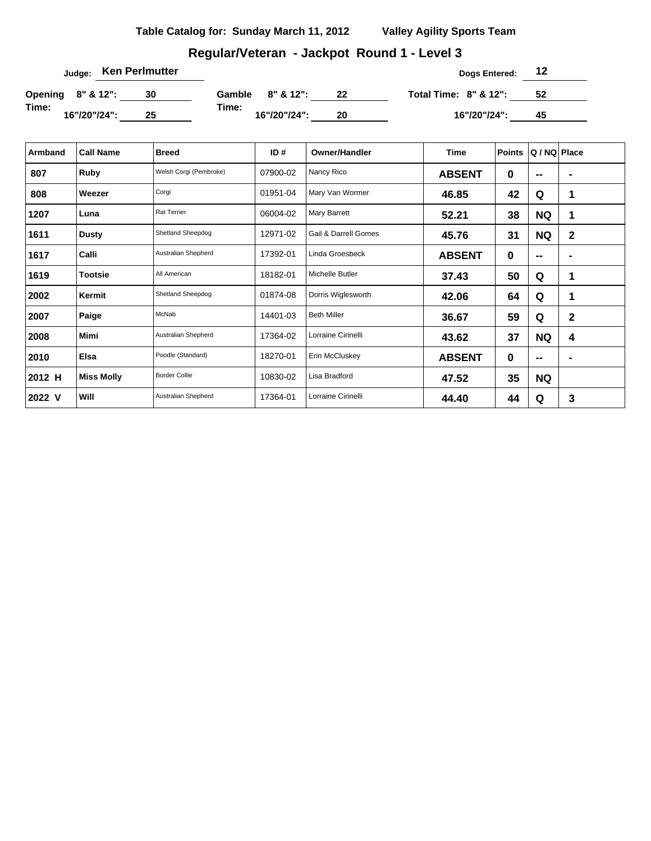# **Regular/Veteran - Jackpot Round 1 - Level 3**

| Judge: Ken Perlmutter |    |       |                  |    | Dogs Entered:                    | 12  |  |
|-----------------------|----|-------|------------------|----|----------------------------------|-----|--|
| Opening 8" & 12":     | 30 |       | Gamble 8" & 12": | 22 | <b>Total Time: 8" &amp; 12":</b> | -52 |  |
| Time:<br>16"/20"/24": | 25 | Time: | 16"/20"/24":     | 20 | 16"/20"/24":                     | 45  |  |

| Armband | <b>Call Name</b>  | <b>Breed</b>           | ID#      | <b>Owner/Handler</b> | Time          | <b>Points</b> | Q / NQ Place |             |
|---------|-------------------|------------------------|----------|----------------------|---------------|---------------|--------------|-------------|
| 807     | Ruby              | Welsh Corgi (Pembroke) | 07900-02 | Nancy Rico           | <b>ABSENT</b> | 0             | --           |             |
| 808     | Weezer            | Corgi                  | 01951-04 | Mary Van Wormer      | 46.85         | 42            | Q            | 1           |
| 1207    | Luna              | <b>Rat Terrier</b>     | 06004-02 | Mary Barrett         | 52.21         | 38            | <b>NQ</b>    | 1           |
| 1611    | <b>Dusty</b>      | Shetland Sheepdog      | 12971-02 | Gail & Darrell Gomes | 45.76         | 31            | <b>NQ</b>    | $\mathbf 2$ |
| 1617    | Calli             | Australian Shepherd    | 17392-01 | Linda Groesbeck      | <b>ABSENT</b> | 0             | $-$          |             |
| 1619    | <b>Tootsie</b>    | All American           | 18182-01 | Michelle Butler      | 37.43         | 50            | Q            | 1           |
| 2002    | Kermit            | Shetland Sheepdog      | 01874-08 | Dorris Wiglesworth   | 42.06         | 64            | Q            | 1           |
| 2007    | Paige             | McNab                  | 14401-03 | <b>Beth Miller</b>   | 36.67         | 59            | Q            | 2           |
| 2008    | <b>Mimi</b>       | Australian Shepherd    | 17364-02 | Lorraine Cirinelli   | 43.62         | 37            | <b>NQ</b>    | 4           |
| 2010    | <b>Elsa</b>       | Poodle (Standard)      | 18270-01 | Erin McCluskey       | <b>ABSENT</b> | 0             | $- -$        |             |
| 2012 H  | <b>Miss Molly</b> | <b>Border Collie</b>   | 10830-02 | Lisa Bradford        | 47.52         | 35            | <b>NQ</b>    |             |
| 2022 V  | Will              | Australian Shepherd    | 17364-01 | Lorraine Cirinelli   | 44.40         | 44            | Q            | 3           |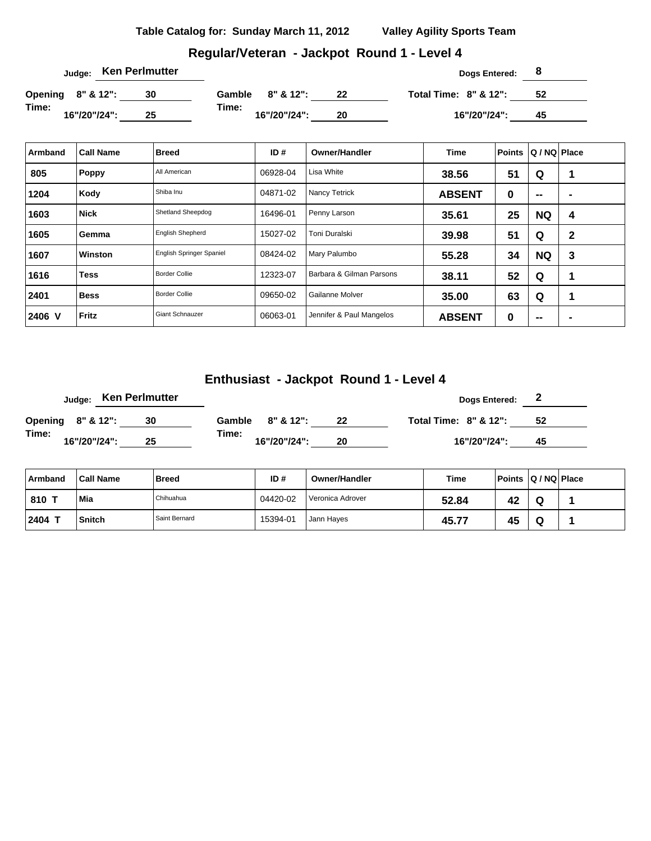## **Regular/Veteran - Jackpot Round 1 - Level 4**

| Judge: Ken Perlmutter |    |                       |    | Dogs Entered:                    | ಿರ |  |
|-----------------------|----|-----------------------|----|----------------------------------|----|--|
| Opening 8" & 12":     | 30 | 8" & 12":<br>Gamble   | 22 | <b>Total Time: 8" &amp; 12":</b> | 52 |  |
| Time:<br>16"/20"/24": | 25 | Time:<br>16"/20"/24": | 20 | 16"/20"/24":                     | 45 |  |

| Armband | <b>Call Name</b> | <b>Breed</b>                    | ID#      | <b>Owner/Handler</b>     | <b>Time</b>   | <b>Points</b> | Q / NQ   Place           |                |
|---------|------------------|---------------------------------|----------|--------------------------|---------------|---------------|--------------------------|----------------|
| 805     | Poppy            | All American                    | 06928-04 | Lisa White               | 38.56         | 51            | Q                        |                |
| 1204    | Kody             | Shiba Inu                       | 04871-02 | Nancy Tetrick            | <b>ABSENT</b> | 0             | $\sim$                   | $\blacksquare$ |
| 1603    | <b>Nick</b>      | Shetland Sheepdog               | 16496-01 | Penny Larson             | 35.61         | 25            | <b>NQ</b>                | 4              |
| 1605    | ⊦Gemma           | <b>English Shepherd</b>         | 15027-02 | Toni Duralski            | 39.98         | 51            | Q                        | 2              |
| 1607    | Winston          | <b>English Springer Spaniel</b> | 08424-02 | Mary Palumbo             | 55.28         | 34            | <b>NQ</b>                | 3              |
| 1616    | <b>Tess</b>      | <b>Border Collie</b>            | 12323-07 | Barbara & Gilman Parsons | 38.11         | 52            | Q                        | 1              |
| 2401    | <b>Bess</b>      | <b>Border Collie</b>            | 09650-02 | Gailanne Molver          | 35.00         | 63            | Q                        | 1              |
| 2406 V  | Fritz            | <b>Giant Schnauzer</b>          | 06063-01 | Jennifer & Paul Mangelos | <b>ABSENT</b> | 0             | $\overline{\phantom{a}}$ | $\blacksquare$ |

# **Enthusiast - Jackpot Round 1 - Level 4**

|                   |              |  | Judge: Ken Perlmutter |                       |              |    | Dogs Entered:                    |     |  |
|-------------------|--------------|--|-----------------------|-----------------------|--------------|----|----------------------------------|-----|--|
| Opening 8" & 12": |              |  | 30                    | Gamble $8'' \& 12"$ : |              | 22 | <b>Total Time: 8" &amp; 12":</b> | -52 |  |
| Time:             | 16"/20"/24": |  | 25                    | Time:                 | 16"/20"/24": | 20 | 16"/20"/24":                     | 45  |  |

| ∣ Armband | <b>Call Name</b> | <b>Breed</b>  | ID#      | Owner/Handler    | Time  | Points Q/NQ Place |   |  |
|-----------|------------------|---------------|----------|------------------|-------|-------------------|---|--|
| 810 1     | Mia              | Chihuahua     | 04420-02 | Veronica Adrover | 52.84 | 42                | Q |  |
| 2404      | Snitch           | Saint Bernard | 15394-01 | Jann Hayes       | 45.77 | 45                | Q |  |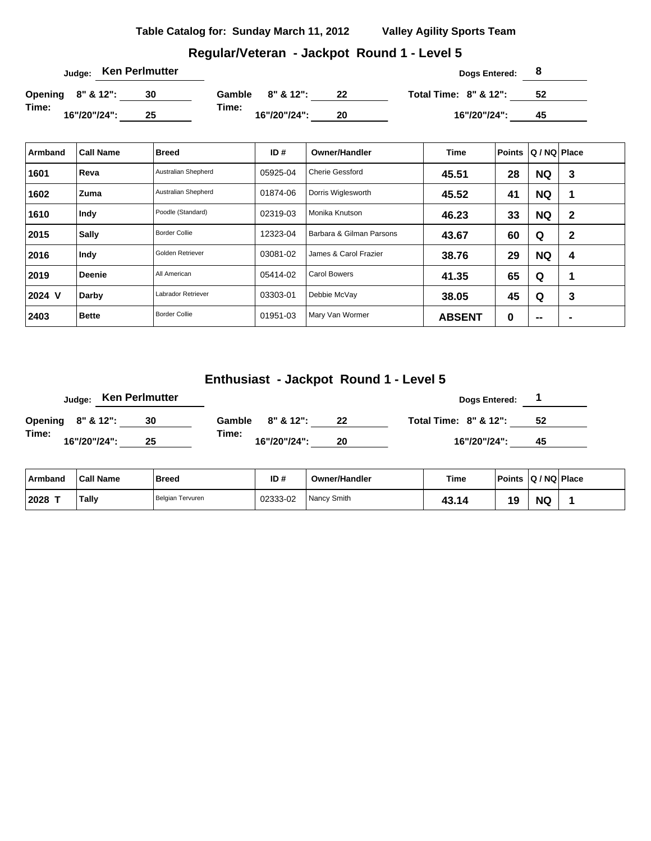## **Regular/Veteran - Jackpot Round 1 - Level 5**

| Judge: Ken Perlmutter |    |                         |    | Dogs Entered: 8                  |    |  |
|-----------------------|----|-------------------------|----|----------------------------------|----|--|
| Opening 8" & 12":     | 30 | $8" 8' 12"$ :<br>Gamble | 22 | <b>Total Time: 8" &amp; 12":</b> | 52 |  |
| Time:<br>16"/20"/24": | 25 | Time:<br>16"/20"/24":   | 20 | 16"/20"/24":                     | 45 |  |

| Armband | <b>Call Name</b> | <b>Breed</b>         | ID#      | <b>Owner/Handler</b>     | <b>Time</b>   | <b>Points</b> | Q / NQ   Place           |                |
|---------|------------------|----------------------|----------|--------------------------|---------------|---------------|--------------------------|----------------|
| 1601    | Reva             | Australian Shepherd  | 05925-04 | <b>Cherie Gessford</b>   | 45.51         | 28            | <b>NQ</b>                | 3              |
| 1602    | ∣ Zuma           | Australian Shepherd  | 01874-06 | Dorris Wiglesworth       | 45.52         | 41            | <b>NQ</b>                | 1              |
| 1610    | Indy             | Poodle (Standard)    | 02319-03 | Monika Knutson           | 46.23         | 33            | <b>NQ</b>                | $\mathbf{2}$   |
| 2015    | <b>Sally</b>     | <b>Border Collie</b> | 12323-04 | Barbara & Gilman Parsons | 43.67         | 60            | Q                        | $\mathbf 2$    |
| 2016    | Indy             | Golden Retriever     | 03081-02 | James & Carol Frazier    | 38.76         | 29            | <b>NQ</b>                | 4              |
| 2019    | <b>Deenie</b>    | All American         | 05414-02 | <b>Carol Bowers</b>      | 41.35         | 65            | Q                        | 1              |
| 2024 V  | Darby            | Labrador Retriever   | 03303-01 | Debbie McVay             | 38.05         | 45            | Q                        | 3              |
| 2403    | Bette            | <b>Border Collie</b> | 01951-03 | Mary Van Wormer          | <b>ABSENT</b> | 0             | $\overline{\phantom{a}}$ | $\blacksquare$ |

### **Enthusiast - Jackpot Round 1 - Level 5**

|                   |  |              | Judge: Ken Perlmutter |       |  |                  |    | Dogs Entered:                    |     |  |
|-------------------|--|--------------|-----------------------|-------|--|------------------|----|----------------------------------|-----|--|
| Opening 8" & 12": |  |              | 30                    |       |  | Gamble 8" & 12": | 22 | <b>Total Time: 8" &amp; 12":</b> | -52 |  |
| Time:             |  | 16"/20"/24": | 25                    | Time: |  | 16"/20"/24":     | 20 | 16"/20"/24":                     | 45  |  |

| ∣ Armband | <b>Call Name</b> | <b>Breed</b>     | ID#      | <b>Owner/Handler</b> | <b>Time</b> | <b>Points</b> | $ Q/NQ $ Place |  |
|-----------|------------------|------------------|----------|----------------------|-------------|---------------|----------------|--|
| 12028     | Tally            | Belgian Tervuren | 02333-02 | Nancy Smith          | 43.14       | 19            | <b>NQ</b>      |  |